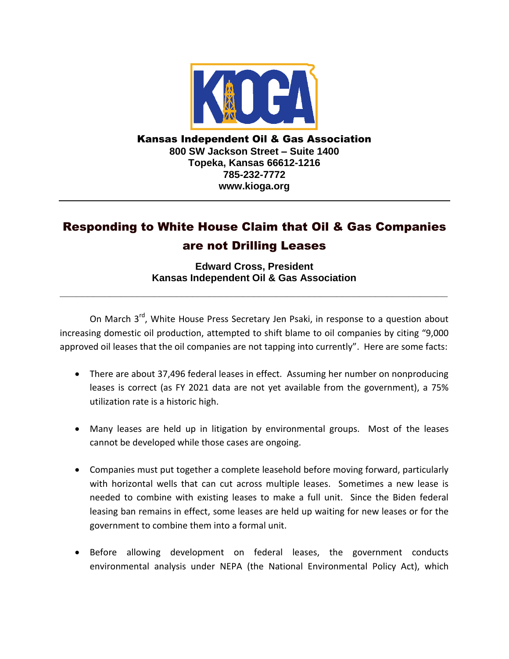

Kansas Independent Oil & Gas Association **800 SW Jackson Street – Suite 1400 Topeka, Kansas 66612-1216 785-232-7772 www.kioga.org**

## Responding to White House Claim that Oil & Gas Companies are not Drilling Leases

**Edward Cross, President Kansas Independent Oil & Gas Association**

**\_\_\_\_\_\_\_\_\_\_\_\_\_\_\_\_\_\_\_\_\_\_\_\_\_\_\_\_\_\_\_\_\_\_\_\_\_\_\_\_\_\_\_\_\_\_\_\_\_\_\_\_\_\_\_\_\_\_\_\_\_\_\_\_\_\_\_\_\_\_**

On March 3<sup>rd</sup>, White House Press Secretary Jen Psaki, in response to a question about increasing domestic oil production, attempted to shift blame to oil companies by citing "9,000 approved oil leases that the oil companies are not tapping into currently". Here are some facts:

- There are about 37,496 federal leases in effect. Assuming her number on nonproducing leases is correct (as FY 2021 data are not yet available from the government), a 75% utilization rate is a historic high.
- Many leases are held up in litigation by environmental groups. Most of the leases cannot be developed while those cases are ongoing.
- Companies must put together a complete leasehold before moving forward, particularly with horizontal wells that can cut across multiple leases. Sometimes a new lease is needed to combine with existing leases to make a full unit. Since the Biden federal leasing ban remains in effect, some leases are held up waiting for new leases or for the government to combine them into a formal unit.
- Before allowing development on federal leases, the government conducts environmental analysis under NEPA (the National Environmental Policy Act), which